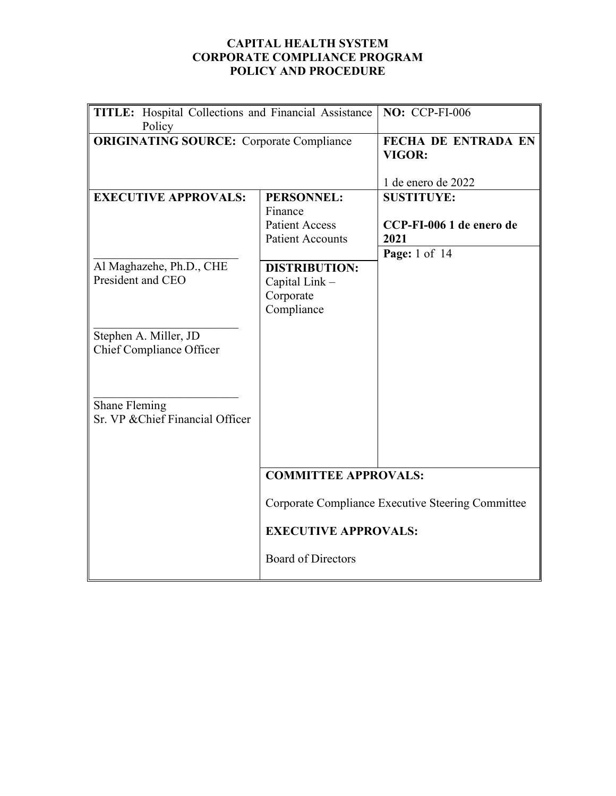#### **CAPITAL HEALTH SYSTEM CORPORATE COMPLIANCE PROGRAM POLICY AND PROCEDURE**

| <b>TITLE:</b> Hospital Collections and Financial Assistance<br>Policy |                                                                           | <b>NO: CCP-FI-006</b>                                                  |
|-----------------------------------------------------------------------|---------------------------------------------------------------------------|------------------------------------------------------------------------|
| <b>ORIGINATING SOURCE:</b> Corporate Compliance                       |                                                                           | <b>FECHA DE ENTRADA EN</b><br>VIGOR:<br>1 de enero de 2022             |
| <b>EXECUTIVE APPROVALS:</b>                                           | PERSONNEL:<br>Finance<br><b>Patient Access</b><br><b>Patient Accounts</b> | <b>SUSTITUYE:</b><br>CCP-FI-006 1 de enero de<br>2021<br>Page: 1 of 14 |
| Al Maghazehe, Ph.D., CHE<br>President and CEO                         | <b>DISTRIBUTION:</b><br>Capital Link -<br>Corporate<br>Compliance         |                                                                        |
| Stephen A. Miller, JD<br>Chief Compliance Officer                     |                                                                           |                                                                        |
| Shane Fleming<br>Sr. VP & Chief Financial Officer                     |                                                                           |                                                                        |
|                                                                       | <b>COMMITTEE APPROVALS:</b>                                               |                                                                        |
|                                                                       | Corporate Compliance Executive Steering Committee                         |                                                                        |
|                                                                       | <b>EXECUTIVE APPROVALS:</b>                                               |                                                                        |
|                                                                       | <b>Board of Directors</b>                                                 |                                                                        |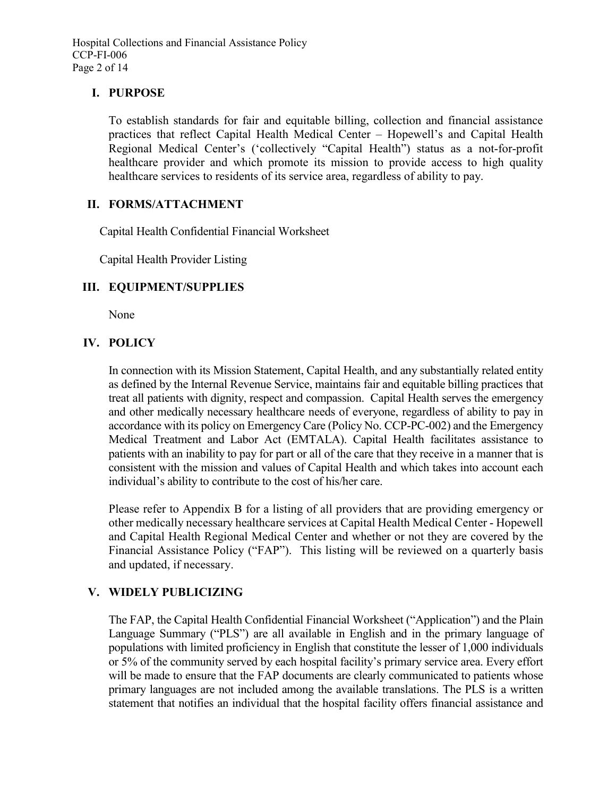Hospital Collections and Financial Assistance Policy CCP-FI-006 Page 2 of 14

#### **I. PURPOSE**

To establish standards for fair and equitable billing, collection and financial assistance practices that reflect Capital Health Medical Center – Hopewell's and Capital Health Regional Medical Center's ('collectively "Capital Health") status as a not-for-profit healthcare provider and which promote its mission to provide access to high quality healthcare services to residents of its service area, regardless of ability to pay.

#### **II. FORMS/ATTACHMENT**

Capital Health Confidential Financial Worksheet

Capital Health Provider Listing

# **III. EQUIPMENT/SUPPLIES**

None

# **IV. POLICY**

In connection with its Mission Statement, Capital Health, and any substantially related entity as defined by the Internal Revenue Service, maintains fair and equitable billing practices that treat all patients with dignity, respect and compassion. Capital Health serves the emergency and other medically necessary healthcare needs of everyone, regardless of ability to pay in accordance with its policy on Emergency Care (Policy No. CCP-PC-002) and the Emergency Medical Treatment and Labor Act (EMTALA). Capital Health facilitates assistance to patients with an inability to pay for part or all of the care that they receive in a manner that is consistent with the mission and values of Capital Health and which takes into account each individual's ability to contribute to the cost of his/her care.

Please refer to Appendix B for a listing of all providers that are providing emergency or other medically necessary healthcare services at Capital Health Medical Center - Hopewell and Capital Health Regional Medical Center and whether or not they are covered by the Financial Assistance Policy ("FAP"). This listing will be reviewed on a quarterly basis and updated, if necessary.

# **V. WIDELY PUBLICIZING**

The FAP, the Capital Health Confidential Financial Worksheet ("Application") and the Plain Language Summary ("PLS") are all available in English and in the primary language of populations with limited proficiency in English that constitute the lesser of 1,000 individuals or 5% of the community served by each hospital facility's primary service area. Every effort will be made to ensure that the FAP documents are clearly communicated to patients whose primary languages are not included among the available translations. The PLS is a written statement that notifies an individual that the hospital facility offers financial assistance and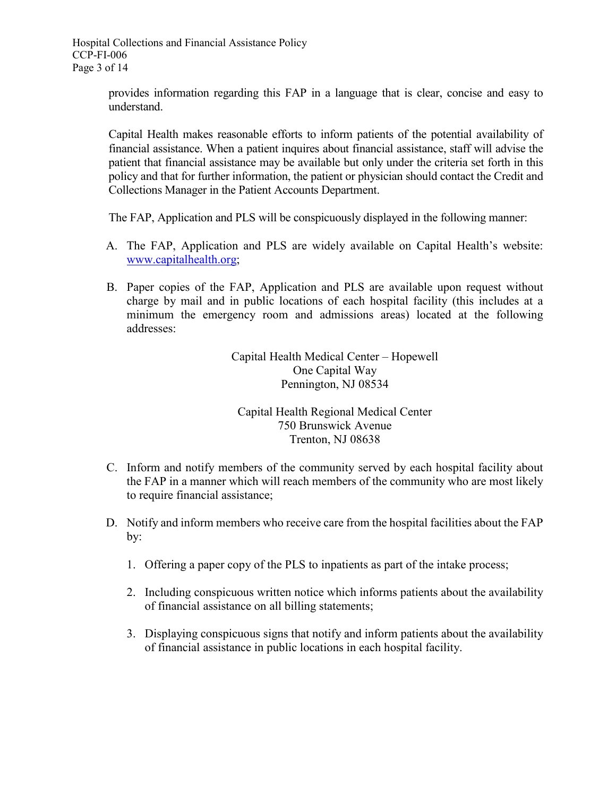provides information regarding this FAP in a language that is clear, concise and easy to understand.

Capital Health makes reasonable efforts to inform patients of the potential availability of financial assistance. When a patient inquires about financial assistance, staff will advise the patient that financial assistance may be available but only under the criteria set forth in this policy and that for further information, the patient or physician should contact the Credit and Collections Manager in the Patient Accounts Department.

The FAP, Application and PLS will be conspicuously displayed in the following manner:

- A. The FAP, Application and PLS are widely available on Capital Health's website: [www.capitalhealth.org;](http://www.capitalhealth.org/)
- B. Paper copies of the FAP, Application and PLS are available upon request without charge by mail and in public locations of each hospital facility (this includes at a minimum the emergency room and admissions areas) located at the following addresses:

Capital Health Medical Center – Hopewell One Capital Way Pennington, NJ 08534

# Capital Health Regional Medical Center 750 Brunswick Avenue Trenton, NJ 08638

- C. Inform and notify members of the community served by each hospital facility about the FAP in a manner which will reach members of the community who are most likely to require financial assistance;
- D. Notify and inform members who receive care from the hospital facilities about the FAP by:
	- 1. Offering a paper copy of the PLS to inpatients as part of the intake process;
	- 2. Including conspicuous written notice which informs patients about the availability of financial assistance on all billing statements;
	- 3. Displaying conspicuous signs that notify and inform patients about the availability of financial assistance in public locations in each hospital facility.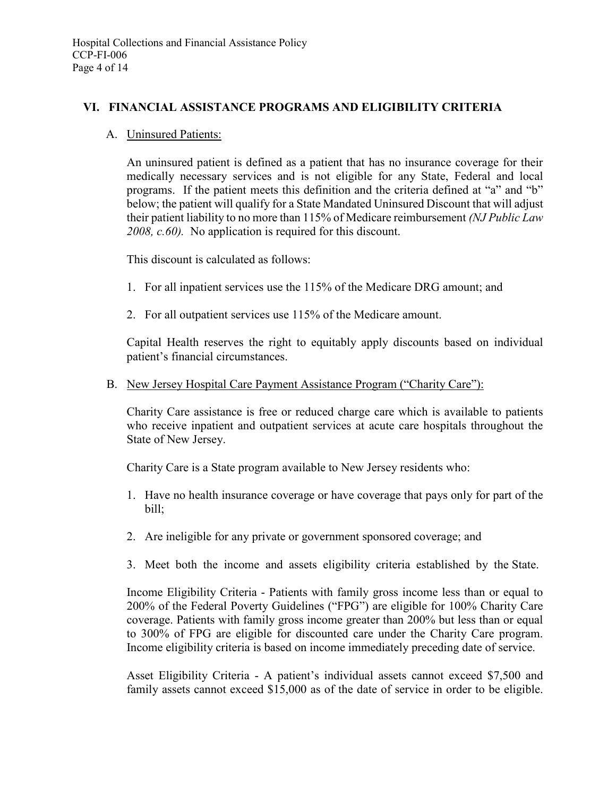#### **VI. FINANCIAL ASSISTANCE PROGRAMS AND ELIGIBILITY CRITERIA**

A. Uninsured Patients:

An uninsured patient is defined as a patient that has no insurance coverage for their medically necessary services and is not eligible for any State, Federal and local programs. If the patient meets this definition and the criteria defined at "a" and "b" below; the patient will qualify for a State Mandated Uninsured Discount that will adjust their patient liability to no more than 115% of Medicare reimbursement *(NJ Public Law 2008, c.60).* No application is required for this discount.

This discount is calculated as follows:

- 1. For all inpatient services use the 115% of the Medicare DRG amount; and
- 2. For all outpatient services use 115% of the Medicare amount.

Capital Health reserves the right to equitably apply discounts based on individual patient's financial circumstances.

#### B. New Jersey Hospital Care Payment Assistance Program ("Charity Care"):

Charity Care assistance is free or reduced charge care which is available to patients who receive inpatient and outpatient services at acute care hospitals throughout the State of New Jersey.

Charity Care is a State program available to New Jersey residents who:

- 1. Have no health insurance coverage or have coverage that pays only for part of the bill;
- 2. Are ineligible for any private or government sponsored coverage; and
- 3. Meet both the income and assets eligibility criteria established by the State.

Income Eligibility Criteria - Patients with family gross income less than or equal to 200% of the Federal Poverty Guidelines ("FPG") are eligible for 100% Charity Care coverage. Patients with family gross income greater than 200% but less than or equal to 300% of FPG are eligible for discounted care under the Charity Care program. Income eligibility criteria is based on income immediately preceding date of service.

Asset Eligibility Criteria - A patient's individual assets cannot exceed \$7,500 and family assets cannot exceed \$15,000 as of the date of service in order to be eligible.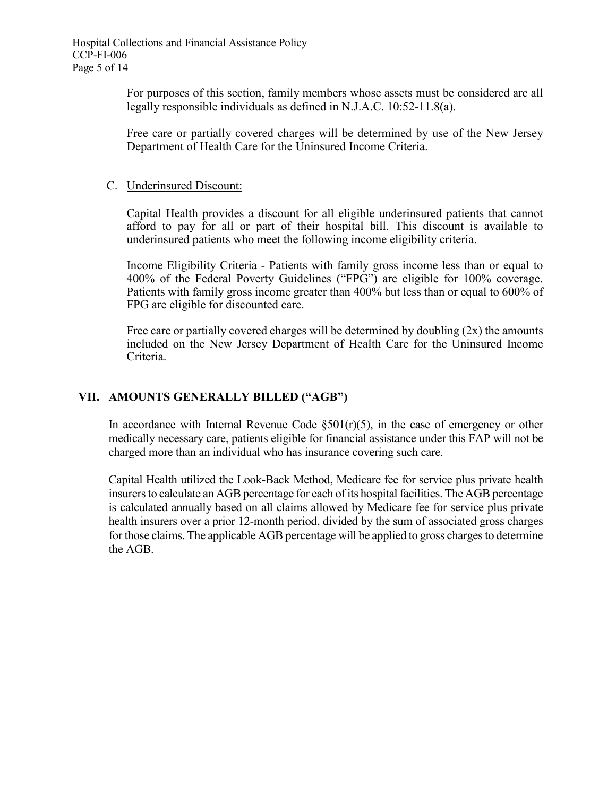For purposes of this section, family members whose assets must be considered are all legally responsible individuals as defined in N.J.A.C. 10:52-11.8(a).

Free care or partially covered charges will be determined by use of the New Jersey Department of Health Care for the Uninsured Income Criteria.

#### C. Underinsured Discount:

Capital Health provides a discount for all eligible underinsured patients that cannot afford to pay for all or part of their hospital bill. This discount is available to underinsured patients who meet the following income eligibility criteria.

Income Eligibility Criteria - Patients with family gross income less than or equal to 400% of the Federal Poverty Guidelines ("FPG") are eligible for 100% coverage. Patients with family gross income greater than 400% but less than or equal to 600% of FPG are eligible for discounted care.

Free care or partially covered charges will be determined by doubling  $(2x)$  the amounts included on the New Jersey Department of Health Care for the Uninsured Income Criteria.

# **VII. AMOUNTS GENERALLY BILLED ("AGB")**

In accordance with Internal Revenue Code  $\S501(r)(5)$ , in the case of emergency or other medically necessary care, patients eligible for financial assistance under this FAP will not be charged more than an individual who has insurance covering such care.

Capital Health utilized the Look-Back Method, Medicare fee for service plus private health insurers to calculate an AGB percentage for each of its hospital facilities. The AGB percentage is calculated annually based on all claims allowed by Medicare fee for service plus private health insurers over a prior 12-month period, divided by the sum of associated gross charges for those claims. The applicable AGB percentage will be applied to gross charges to determine the AGB.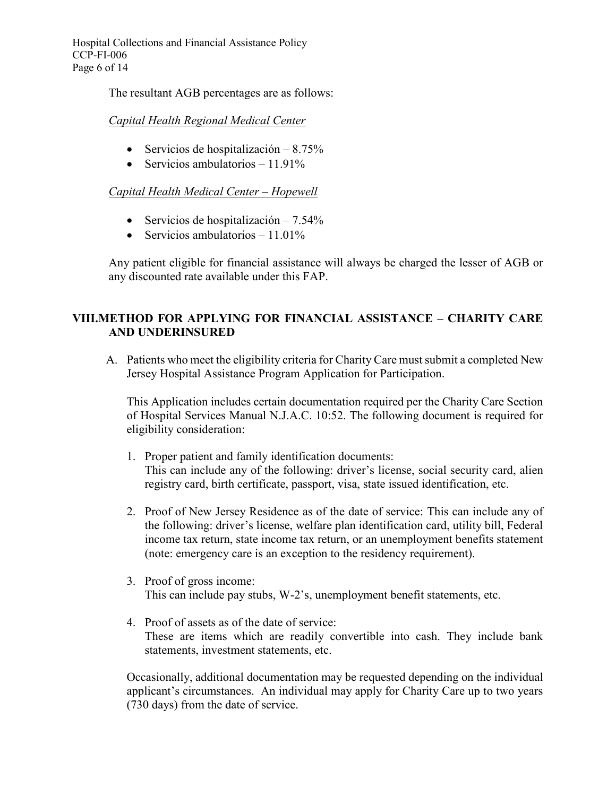Hospital Collections and Financial Assistance Policy CCP-FI-006 Page 6 of 14

The resultant AGB percentages are as follows:

#### *Capital Health Regional Medical Center*

- Servicios de hospitalización 8.75%
- Servicios ambulatorios  $-11.91\%$

# *Capital Health Medical Center – Hopewell*

- Servicios de hospitalización 7.54%
- Servicios ambulatorios  $-11.01\%$

Any patient eligible for financial assistance will always be charged the lesser of AGB or any discounted rate available under this FAP.

# **VIII.METHOD FOR APPLYING FOR FINANCIAL ASSISTANCE – CHARITY CARE AND UNDERINSURED**

A. Patients who meet the eligibility criteria for Charity Care must submit a completed New Jersey Hospital Assistance Program Application for Participation.

This Application includes certain documentation required per the Charity Care Section of Hospital Services Manual N.J.A.C. 10:52. The following document is required for eligibility consideration:

- 1. Proper patient and family identification documents: This can include any of the following: driver's license, social security card, alien registry card, birth certificate, passport, visa, state issued identification, etc.
- 2. Proof of New Jersey Residence as of the date of service: This can include any of the following: driver's license, welfare plan identification card, utility bill, Federal income tax return, state income tax return, or an unemployment benefits statement (note: emergency care is an exception to the residency requirement).
- 3. Proof of gross income: This can include pay stubs, W-2's, unemployment benefit statements, etc.
- 4. Proof of assets as of the date of service: These are items which are readily convertible into cash. They include bank statements, investment statements, etc.

Occasionally, additional documentation may be requested depending on the individual applicant's circumstances. An individual may apply for Charity Care up to two years (730 days) from the date of service.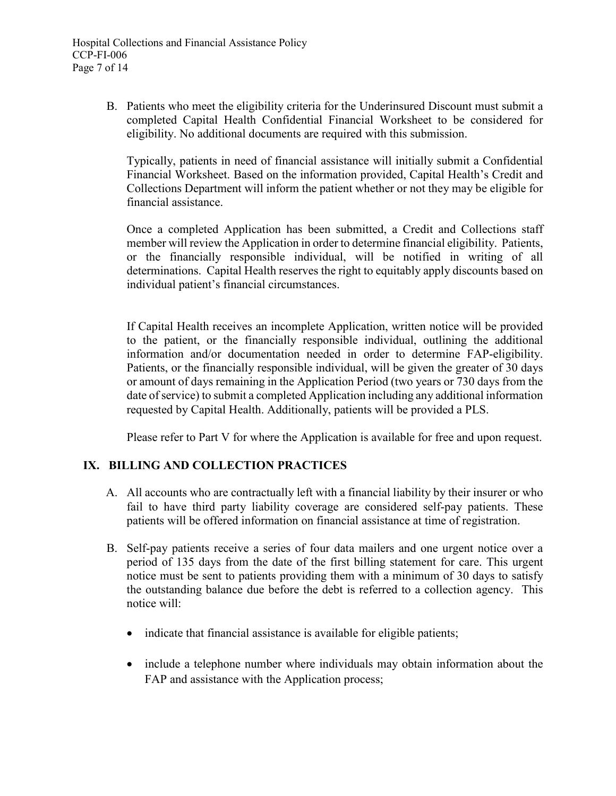B. Patients who meet the eligibility criteria for the Underinsured Discount must submit a completed Capital Health Confidential Financial Worksheet to be considered for eligibility. No additional documents are required with this submission.

Typically, patients in need of financial assistance will initially submit a Confidential Financial Worksheet. Based on the information provided, Capital Health's Credit and Collections Department will inform the patient whether or not they may be eligible for financial assistance.

Once a completed Application has been submitted, a Credit and Collections staff member will review the Application in order to determine financial eligibility. Patients, or the financially responsible individual, will be notified in writing of all determinations. Capital Health reserves the right to equitably apply discounts based on individual patient's financial circumstances.

If Capital Health receives an incomplete Application, written notice will be provided to the patient, or the financially responsible individual, outlining the additional information and/or documentation needed in order to determine FAP-eligibility. Patients, or the financially responsible individual, will be given the greater of 30 days or amount of days remaining in the Application Period (two years or 730 days from the date of service) to submit a completed Application including any additional information requested by Capital Health. Additionally, patients will be provided a PLS.

Please refer to Part V for where the Application is available for free and upon request.

# **IX. BILLING AND COLLECTION PRACTICES**

- A. All accounts who are contractually left with a financial liability by their insurer or who fail to have third party liability coverage are considered self-pay patients. These patients will be offered information on financial assistance at time of registration.
- B. Self-pay patients receive a series of four data mailers and one urgent notice over a period of 135 days from the date of the first billing statement for care. This urgent notice must be sent to patients providing them with a minimum of 30 days to satisfy the outstanding balance due before the debt is referred to a collection agency. This notice will:
	- indicate that financial assistance is available for eligible patients;
	- include a telephone number where individuals may obtain information about the FAP and assistance with the Application process;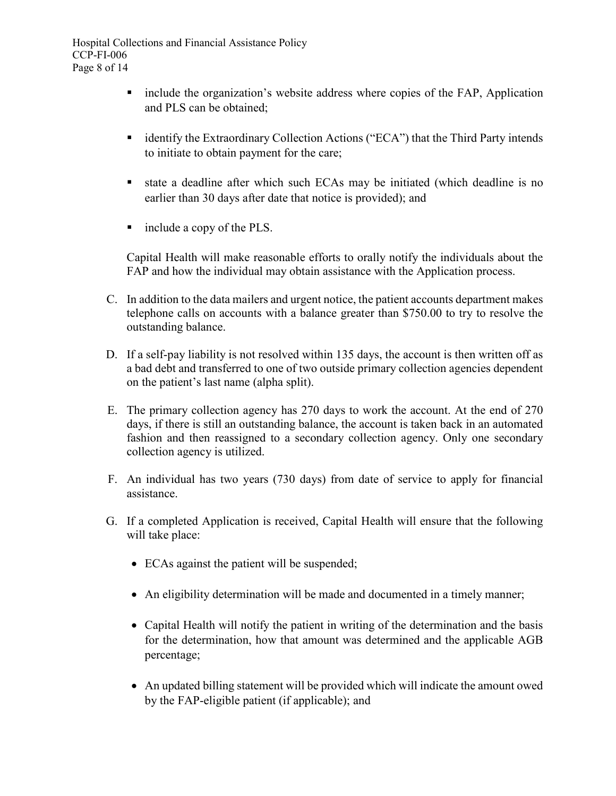- include the organization's website address where copies of the FAP, Application and PLS can be obtained;
- identify the Extraordinary Collection Actions ("ECA") that the Third Party intends to initiate to obtain payment for the care;
- state a deadline after which such ECAs may be initiated (which deadline is no earlier than 30 days after date that notice is provided); and
- include a copy of the PLS.

Capital Health will make reasonable efforts to orally notify the individuals about the FAP and how the individual may obtain assistance with the Application process.

- C. In addition to the data mailers and urgent notice, the patient accounts department makes telephone calls on accounts with a balance greater than \$750.00 to try to resolve the outstanding balance.
- D. If a self-pay liability is not resolved within 135 days, the account is then written off as a bad debt and transferred to one of two outside primary collection agencies dependent on the patient's last name (alpha split).
- E. The primary collection agency has 270 days to work the account. At the end of 270 days, if there is still an outstanding balance, the account is taken back in an automated fashion and then reassigned to a secondary collection agency. Only one secondary collection agency is utilized.
- F. An individual has two years (730 days) from date of service to apply for financial assistance.
- G. If a completed Application is received, Capital Health will ensure that the following will take place:
	- ECAs against the patient will be suspended;
	- An eligibility determination will be made and documented in a timely manner;
	- Capital Health will notify the patient in writing of the determination and the basis for the determination, how that amount was determined and the applicable AGB percentage;
	- An updated billing statement will be provided which will indicate the amount owed by the FAP-eligible patient (if applicable); and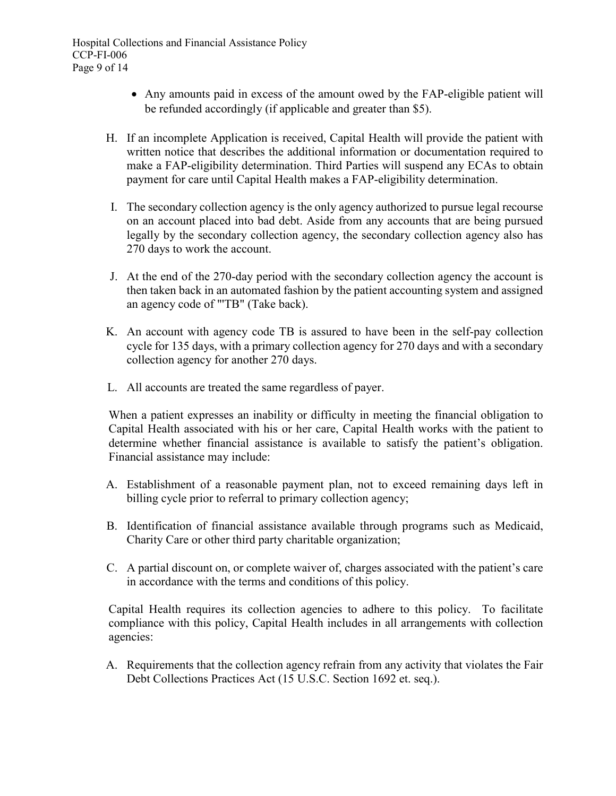- Any amounts paid in excess of the amount owed by the FAP-eligible patient will be refunded accordingly (if applicable and greater than \$5).
- H. If an incomplete Application is received, Capital Health will provide the patient with written notice that describes the additional information or documentation required to make a FAP-eligibility determination. Third Parties will suspend any ECAs to obtain payment for care until Capital Health makes a FAP-eligibility determination.
- I. The secondary collection agency is the only agency authorized to pursue legal recourse on an account placed into bad debt. Aside from any accounts that are being pursued legally by the secondary collection agency, the secondary collection agency also has 270 days to work the account.
- J. At the end of the 270-day period with the secondary collection agency the account is then taken back in an automated fashion by the patient accounting system and assigned an agency code of "'TB" (Take back).
- K. An account with agency code TB is assured to have been in the self-pay collection cycle for 135 days, with a primary collection agency for 270 days and with a secondary collection agency for another 270 days.
- L. All accounts are treated the same regardless of payer.

When a patient expresses an inability or difficulty in meeting the financial obligation to Capital Health associated with his or her care, Capital Health works with the patient to determine whether financial assistance is available to satisfy the patient's obligation. Financial assistance may include:

- A. Establishment of a reasonable payment plan, not to exceed remaining days left in billing cycle prior to referral to primary collection agency;
- B. Identification of financial assistance available through programs such as Medicaid, Charity Care or other third party charitable organization;
- C. A partial discount on, or complete waiver of, charges associated with the patient's care in accordance with the terms and conditions of this policy.

Capital Health requires its collection agencies to adhere to this policy. To facilitate compliance with this policy, Capital Health includes in all arrangements with collection agencies:

A. Requirements that the collection agency refrain from any activity that violates the Fair Debt Collections Practices Act (15 U.S.C. Section 1692 et. seq.).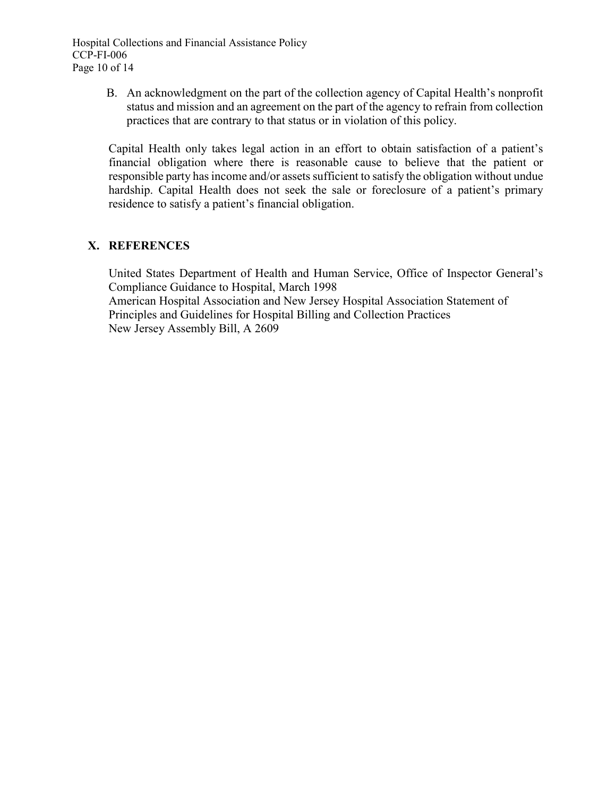B. An acknowledgment on the part of the collection agency of Capital Health's nonprofit status and mission and an agreement on the part of the agency to refrain from collection practices that are contrary to that status or in violation of this policy.

Capital Health only takes legal action in an effort to obtain satisfaction of a patient's financial obligation where there is reasonable cause to believe that the patient or responsible party has income and/or assets sufficient to satisfy the obligation without undue hardship. Capital Health does not seek the sale or foreclosure of a patient's primary residence to satisfy a patient's financial obligation.

# **X. REFERENCES**

United States Department of Health and Human Service, Office of Inspector General's Compliance Guidance to Hospital, March 1998 American Hospital Association and New Jersey Hospital Association Statement of Principles and Guidelines for Hospital Billing and Collection Practices New Jersey Assembly Bill, A 2609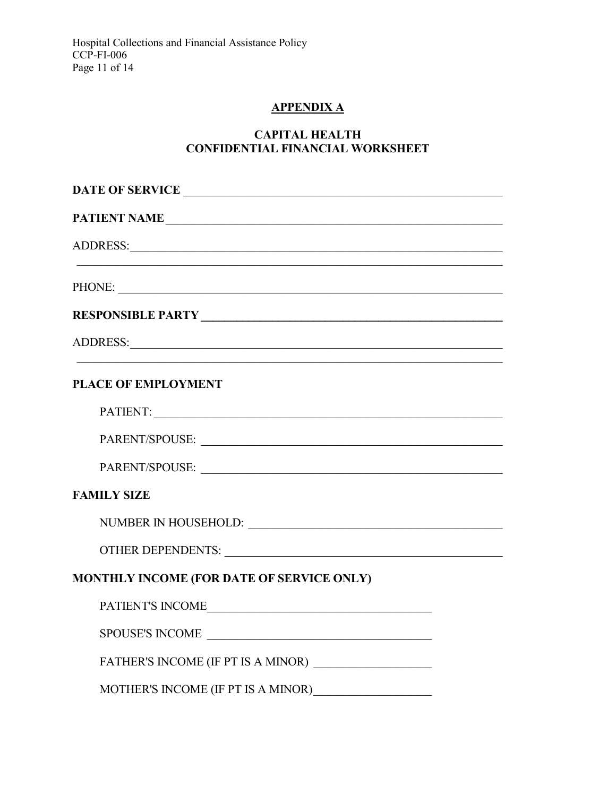# **APPENDIXA**

# **CAPITAL HEALTH CONFIDENTIAL FINANCIAL WORKSHEET**

| DATE OF SERVICE                                                                                                                                                                                                                |  |  |
|--------------------------------------------------------------------------------------------------------------------------------------------------------------------------------------------------------------------------------|--|--|
| PATIENT NAME                                                                                                                                                                                                                   |  |  |
| ADDRESS: Universe of the contract of the contract of the contract of the contract of the contract of the contract of the contract of the contract of the contract of the contract of the contract of the contract of the contr |  |  |
|                                                                                                                                                                                                                                |  |  |
| PHONE:                                                                                                                                                                                                                         |  |  |
|                                                                                                                                                                                                                                |  |  |
| ADDRESS: Universe of the contract of the contract of the contract of the contract of the contract of the contract of the contract of the contract of the contract of the contract of the contract of the contract of the contr |  |  |
|                                                                                                                                                                                                                                |  |  |
| <b>PLACE OF EMPLOYMENT</b>                                                                                                                                                                                                     |  |  |
|                                                                                                                                                                                                                                |  |  |
| PARENT/SPOUSE:                                                                                                                                                                                                                 |  |  |
| PARENT/SPOUSE:                                                                                                                                                                                                                 |  |  |
| <b>FAMILY SIZE</b>                                                                                                                                                                                                             |  |  |
|                                                                                                                                                                                                                                |  |  |
|                                                                                                                                                                                                                                |  |  |
| MONTHLY INCOME (FOR DATE OF SERVICE ONLY)                                                                                                                                                                                      |  |  |
| PATIENT'S INCOME                                                                                                                                                                                                               |  |  |
| SPOUSE'S INCOME                                                                                                                                                                                                                |  |  |
|                                                                                                                                                                                                                                |  |  |
|                                                                                                                                                                                                                                |  |  |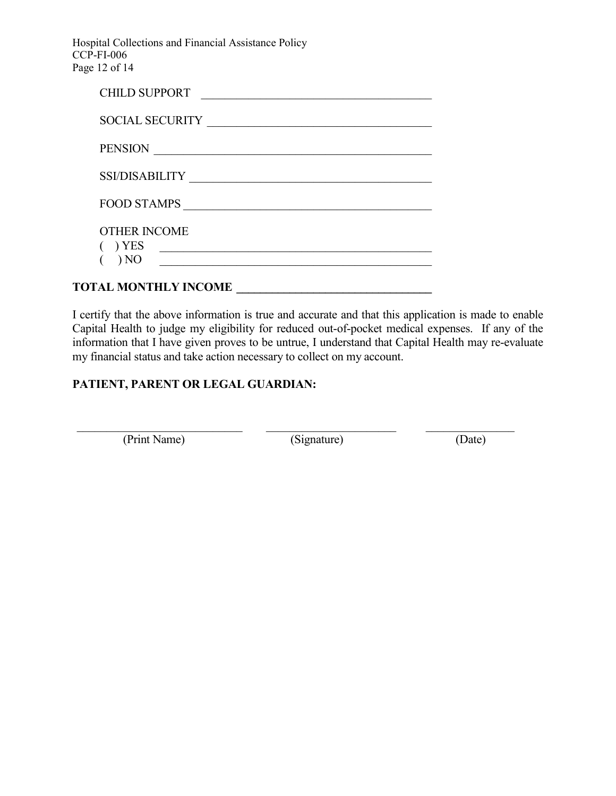Hospital Collections and Financial Assistance Policy CCP-FI-006 Page 12 of 14

| <b>CHILD SUPPORT</b>        |
|-----------------------------|
| <b>SOCIAL SECURITY</b>      |
| <b>PENSION</b>              |
| <b>SSI/DISABILITY</b>       |
| <b>FOOD STAMPS</b>          |
| <b>OTHER INCOME</b>         |
| ) YES                       |
| $\rightarrow$ NO            |
| <b>TOTAL MONTHLY INCOME</b> |

I certify that the above information is true and accurate and that this application is made to enable Capital Health to judge my eligibility for reduced out-of-pocket medical expenses. If any of the information that I have given proves to be untrue, I understand that Capital Health may re-evaluate my financial status and take action necessary to collect on my account.

# **PATIENT, PARENT OR LEGAL GUARDIAN:**

(Print Name) (Signature) (Date)

\_\_\_\_\_\_\_\_\_\_\_\_\_\_\_\_\_\_\_\_\_\_\_\_\_\_\_\_ \_\_\_\_\_\_\_\_\_\_\_\_\_\_\_\_\_\_\_\_\_\_ \_\_\_\_\_\_\_\_\_\_\_\_\_\_\_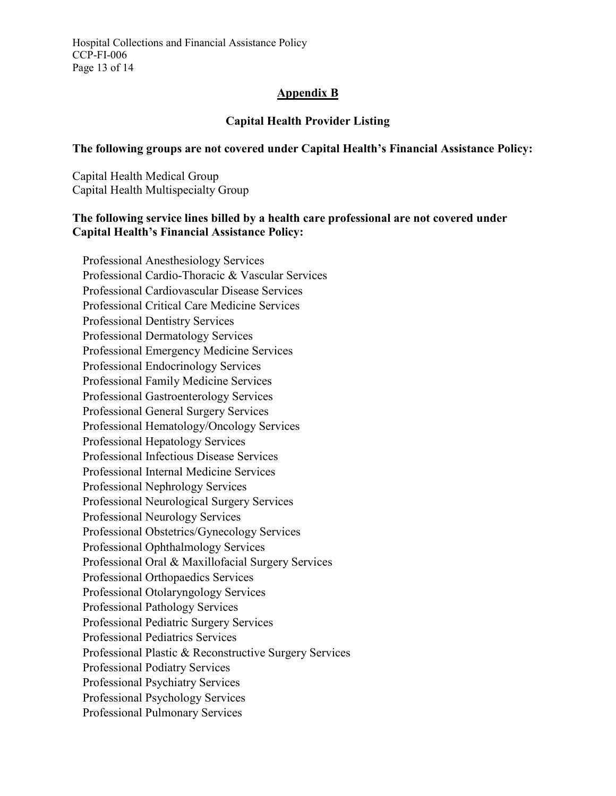Hospital Collections and Financial Assistance Policy CCP-FI-006 Page 13 of 14

#### **Appendix B**

# **Capital Health Provider Listing**

#### **The following groups are not covered under Capital Health's Financial Assistance Policy:**

Capital Health Medical Group Capital Health Multispecialty Group

#### **The following service lines billed by a health care professional are not covered under Capital Health's Financial Assistance Policy:**

Professional Anesthesiology Services Professional Cardio-Thoracic & Vascular Services Professional Cardiovascular Disease Services Professional Critical Care Medicine Services Professional Dentistry Services Professional Dermatology Services Professional Emergency Medicine Services Professional Endocrinology Services Professional Family Medicine Services Professional Gastroenterology Services Professional General Surgery Services Professional Hematology/Oncology Services Professional Hepatology Services Professional Infectious Disease Services Professional Internal Medicine Services Professional Nephrology Services Professional Neurological Surgery Services Professional Neurology Services Professional Obstetrics/Gynecology Services Professional Ophthalmology Services Professional Oral & Maxillofacial Surgery Services Professional Orthopaedics Services Professional Otolaryngology Services Professional Pathology Services Professional Pediatric Surgery Services Professional Pediatrics Services Professional Plastic & Reconstructive Surgery Services Professional Podiatry Services Professional Psychiatry Services Professional Psychology Services Professional Pulmonary Services